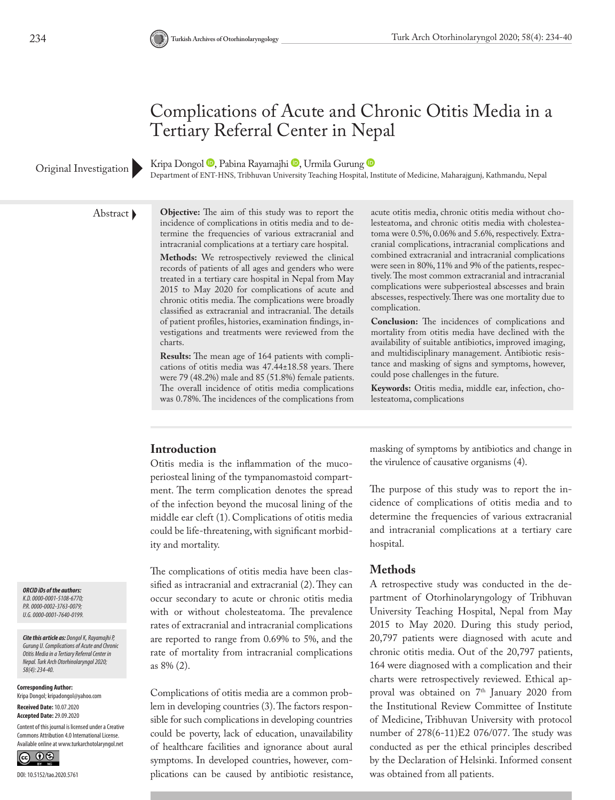## Complications of Acute and Chronic Otitis Media in a Tertiary Referral Center in Nepal

KripaDongol <sup>(D</sup>, Pabina Rayamajhi <sup>(D</sup>, Urmila Gurung <sup>(D</sup>

Original Investigation **COLOGIC**, Papina Kayamajni C, Urmila Gurung C Medicine, Maharajgunj, Kathmandu, Nepal Coriginal Investigation Department of ENT-HNS, Tribhuvan University Teaching Hospital, Institute of Medicine, Ma

Abstract **Objective:** The aim of this study was to report the incidence of complications in otitis media and to determine the frequencies of various extracranial and intracranial complications at a tertiary care hospital.

> **Methods:** We retrospectively reviewed the clinical records of patients of all ages and genders who were treated in a tertiary care hospital in Nepal from May 2015 to May 2020 for complications of acute and chronic otitis media. The complications were broadly classified as extracranial and intracranial. The details of patient profiles, histories, examination findings, investigations and treatments were reviewed from the charts.

> **Results:** The mean age of 164 patients with complications of otitis media was 47.44±18.58 years. There were 79 (48.2%) male and 85 (51.8%) female patients. The overall incidence of otitis media complications was 0.78%. The incidences of the complications from

acute otitis media, chronic otitis media without cholesteatoma, and chronic otitis media with cholesteatoma were 0.5%, 0.06% and 5.6%, respectively. Extracranial complications, intracranial complications and combined extracranial and intracranial complications were seen in 80%, 11% and 9% of the patients, respectively. The most common extracranial and intracranial complications were subperiosteal abscesses and brain abscesses, respectively. There was one mortality due to complication.

**Conclusion:** The incidences of complications and mortality from otitis media have declined with the availability of suitable antibiotics, improved imaging, and multidisciplinary management. Antibiotic resistance and masking of signs and symptoms, however, could pose challenges in the future.

**Keywords:** Otitis media, middle ear, infection, cholesteatoma, complications

### **Introduction**

Otitis media is the inflammation of the mucoperiosteal lining of the tympanomastoid compartment. The term complication denotes the spread of the infection beyond the mucosal lining of the middle ear cleft (1). Complications of otitis media could be life-threatening, with significant morbidity and mortality.

The complications of otitis media have been classified as intracranial and extracranial (2). They can occur secondary to acute or chronic otitis media with or without cholesteatoma. The prevalence rates of extracranial and intracranial complications are reported to range from 0.69% to 5%, and the rate of mortality from intracranial complications as 8% (2).

Complications of otitis media are a common problem in developing countries (3). The factors responsible for such complications in developing countries could be poverty, lack of education, unavailability of healthcare facilities and ignorance about aural symptoms. In developed countries, however, complications can be caused by antibiotic resistance, masking of symptoms by antibiotics and change in the virulence of causative organisms (4).

The purpose of this study was to report the incidence of complications of otitis media and to determine the frequencies of various extracranial and intracranial complications at a tertiary care hospital.

#### **Methods**

A retrospective study was conducted in the department of Otorhinolaryngology of Tribhuvan University Teaching Hospital, Nepal from May 2015 to May 2020. During this study period, 20,797 patients were diagnosed with acute and chronic otitis media. Out of the 20,797 patients, 164 were diagnosed with a complication and their charts were retrospectively reviewed. Ethical approval was obtained on  $7<sup>th</sup>$  January 2020 from the Institutional Review Committee of Institute of Medicine, Tribhuvan University with protocol number of 278(6-11)E2 076/077. The study was conducted as per the ethical principles described by the Declaration of Helsinki. Informed consent was obtained from all patients.

*ORCID iDs of the authors: K.D. 0000-0001-5108-6770; P.R. 0000-0002-3763-0079; U.G. 0000-0001-7640-0199.*

*Cite this article as: Dongol K, Rayamajhi P, Gurung U. Complications of Acute and Chronic Otitis Media in a Tertiary Referral Center in Nepal. Turk Arch Otorhinolaryngol 2020; 58(4): 234-40.*

**Corresponding Author:**  Kripa Dongol; kripadongol@yahoo.com

**Received Date:** 10.07.2020 **Accepted Date:** 29.09.2020

Content of this journal is licensed under a Creative Commons Attribution 4.0 International License. Available online at www.turkarchotolaryngol.net

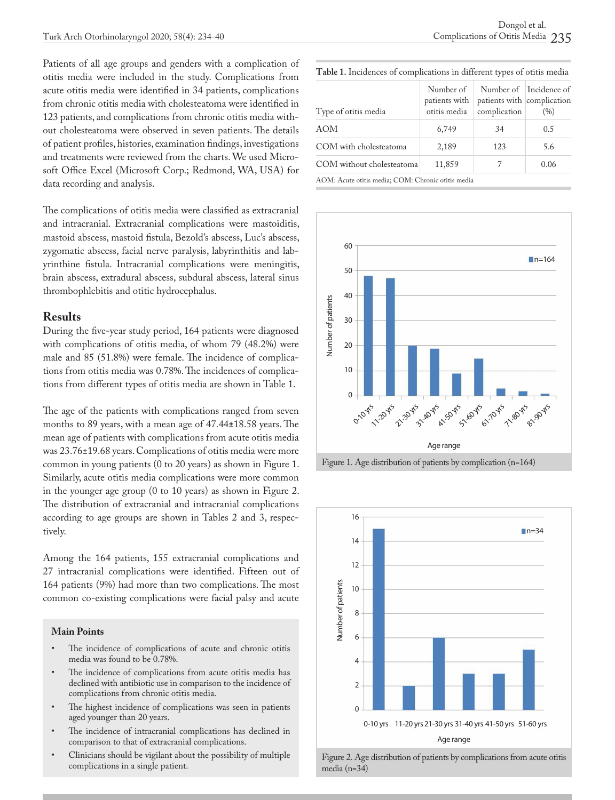Patients of all age groups and genders with a complication of otitis media were included in the study. Complications from acute otitis media were identified in 34 patients, complications from chronic otitis media with cholesteatoma were identified in 123 patients, and complications from chronic otitis media without cholesteatoma were observed in seven patients. The details of patient profiles, histories, examination findings, investigations and treatments were reviewed from the charts. We used Microsoft Office Excel (Microsoft Corp.; Redmond, WA, USA) for data recording and analysis.

The complications of otitis media were classified as extracranial and intracranial. Extracranial complications were mastoiditis, mastoid abscess, mastoid fistula, Bezold's abscess, Luc's abscess, zygomatic abscess, facial nerve paralysis, labyrinthitis and labyrinthine fistula. Intracranial complications were meningitis, brain abscess, extradural abscess, subdural abscess, lateral sinus thrombophlebitis and otitic hydrocephalus.

#### **Results**

During the five-year study period, 164 patients were diagnosed with complications of otitis media, of whom 79 (48.2%) were male and 85 (51.8%) were female. The incidence of complications from otitis media was 0.78%. The incidences of complications from different types of otitis media are shown in Table 1.

The age of the patients with complications ranged from seven months to 89 years, with a mean age of 47.44**±**18.58 years. The mean age of patients with complications from acute otitis media was 23.76±19.68 years. Complications of otitis media were more common in young patients (0 to 20 years) as shown in Figure 1. Similarly, acute otitis media complications were more common in the younger age group (0 to 10 years) as shown in Figure 2. The distribution of extracranial and intracranial complications according to age groups are shown in Tables 2 and 3, respectively.

Among the 164 patients, 155 extracranial complications and 27 intracranial complications were identified. Fifteen out of 164 patients (9%) had more than two complications. The most common co-existing complications were facial palsy and acute

#### **Main Points**

- The incidence of complications of acute and chronic otitis media was found to be 0.78%.
- The incidence of complications from acute otitis media has declined with antibiotic use in comparison to the incidence of complications from chronic otitis media.
- The highest incidence of complications was seen in patients aged younger than 20 years.
- The incidence of intracranial complications has declined in comparison to that of extracranial complications.
- Clinicians should be vigilant about the possibility of multiple complications in a single patient.

**Table 1.** Incidences of complications in different types of otitis media

| Type of otitis media                               | Number of<br>patients with<br>otitis media | patients with complication<br>complication | Number of Incidence of<br>(96) |
|----------------------------------------------------|--------------------------------------------|--------------------------------------------|--------------------------------|
| AOM                                                | 6,749                                      | 34                                         | 0.5                            |
| COM with cholesteatoma                             | 2,189                                      | 123                                        | 5.6                            |
| COM without cholesteatoma                          | 11,859                                     |                                            | 0.06                           |
| AOM: Acute otitis media; COM: Chronic otitis media |                                            |                                            |                                |







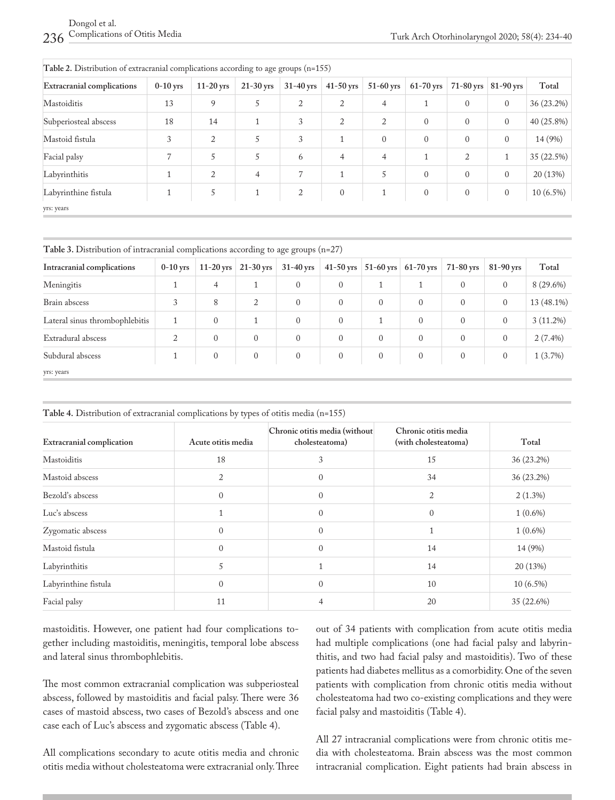| Table 2. Distribution of extracranial complications according to age groups $(n=155)$ |            |             |             |                |              |             |              |                |                |             |
|---------------------------------------------------------------------------------------|------------|-------------|-------------|----------------|--------------|-------------|--------------|----------------|----------------|-------------|
| <b>Extracranial complications</b>                                                     | $0-10$ yrs | $11-20$ yrs | $21-30$ yrs | $31-40$ yrs    | $41-50$ yrs  | $51-60$ yrs | $61-70$ yrs  | $71-80$ yrs    | $81-90$ yrs    | Total       |
| Mastoiditis                                                                           | 13         | 9           | 5           | $\overline{2}$ | 2            | 4           | 1            | $\overline{0}$ | $\overline{0}$ | 36 (23.2%)  |
| Subperiosteal abscess                                                                 | 18         | 14          |             | 3              | 2            | 2           | $\mathbf{0}$ | $\overline{0}$ | $\overline{0}$ | 40 (25.8%)  |
| Mastoid fistula                                                                       | 3          | 2           | 5           | 3              | $\mathbf{1}$ | $\theta$    | $\mathbf{0}$ | $\mathbf{0}$   | $\mathbf{0}$   | 14 (9%)     |
| Facial palsy                                                                          |            | 5           | 5           | 6              | 4            | 4           | $\mathbf{1}$ | 2              | $\mathbf{1}$   | 35 (22.5%)  |
| Labyrinthitis                                                                         |            | 2           | 4           | 7              | $\mathbf{1}$ | 5           | $\mathbf{0}$ | $\overline{0}$ | $\mathbf{0}$   | 20 (13%)    |
| Labyrinthine fistula                                                                  |            | 5           | 1           | $\overline{2}$ | $\mathbf{0}$ | 1           | $\mathbf{0}$ | $\overline{0}$ | $\overline{0}$ | $10(6.5\%)$ |
| yrs: years                                                                            |            |             |             |                |              |             |              |                |                |             |

**Table 3.** Distribution of intracranial complications according to age groups (n=27)

| Intracranial complications     | $0-10$ yrs |              | 11-20 yrs $\vert$ 21-30 yrs $\vert$ | $31-40$ yrs    |                |                | 41-50 yrs $\vert$ 51-60 yrs $\vert$ 61-70 yrs | $71-80$ yrs    | $81-90$ yrs    | Total       |
|--------------------------------|------------|--------------|-------------------------------------|----------------|----------------|----------------|-----------------------------------------------|----------------|----------------|-------------|
| Meningitis                     |            | 4            |                                     | $\mathbf{0}$   | $\overline{0}$ |                |                                               | $\overline{0}$ | $\overline{0}$ | $8(29.6\%)$ |
| Brain abscess                  | 3          | 8            | 2                                   | $\overline{0}$ | $\overline{0}$ | $\overline{0}$ | $\mathbf{0}$                                  | $\overline{0}$ | $\mathbf{0}$   | 13 (48.1%)  |
| Lateral sinus thrombophlebitis |            | $\mathbf{0}$ |                                     | $\Omega$       | $\overline{0}$ |                | $\mathbf{0}$                                  | $\overline{0}$ | $\mathbf{0}$   | $3(11.2\%)$ |
| Extradural abscess             | 2          | $\mathbf{0}$ | $\mathbf{0}$                        | $\mathbf{0}$   | $\overline{0}$ | $\overline{0}$ | $\mathbf{0}$                                  | $\overline{0}$ | $\mathbf{0}$   | $2(7.4\%)$  |
| Subdural abscess               |            | $\mathbf{0}$ | $\mathbf{0}$                        | $\overline{0}$ | $\overline{0}$ | $\overline{0}$ | $\overline{0}$                                | $\overline{0}$ | $\mathbf{0}$   | $1(3.7\%)$  |
| yrs: years                     |            |              |                                     |                |                |                |                                               |                |                |             |

**Table 4.** Distribution of extracranial complications by types of otitis media (n=155)

| <b>Extracranial complication</b> | Acute otitis media | Chronic otitis media (without<br>cholesteatoma) | Chronic otitis media<br>(with cholesteatoma) | Total       |
|----------------------------------|--------------------|-------------------------------------------------|----------------------------------------------|-------------|
| Mastoiditis                      | 18                 | 3                                               | 15                                           | 36 (23.2%)  |
| Mastoid abscess                  | 2                  | $\Omega$                                        | 34                                           | 36 (23.2%)  |
| Bezold's abscess                 | $\mathbf{0}$       | $\Omega$                                        | 2                                            | $2(1.3\%)$  |
| Luc's abscess                    |                    | $\Omega$                                        | $\Omega$                                     | $1(0.6\%)$  |
| Zygomatic abscess                | $\theta$           | $\Omega$                                        | 1                                            | $1(0.6\%)$  |
| Mastoid fistula                  | $\Omega$           | $\Omega$                                        | 14                                           | 14 (9%)     |
| Labyrinthitis                    | 5                  |                                                 | 14                                           | 20 (13%)    |
| Labyrinthine fistula             | $\theta$           | $\Omega$                                        | 10                                           | $10(6.5\%)$ |
| Facial palsy                     | 11                 |                                                 | 20                                           | 35 (22.6%)  |

mastoiditis. However, one patient had four complications together including mastoiditis, meningitis, temporal lobe abscess and lateral sinus thrombophlebitis.

The most common extracranial complication was subperiosteal abscess, followed by mastoiditis and facial palsy. There were 36 cases of mastoid abscess, two cases of Bezold's abscess and one case each of Luc's abscess and zygomatic abscess (Table 4).

All complications secondary to acute otitis media and chronic otitis media without cholesteatoma were extracranial only. Three out of 34 patients with complication from acute otitis media had multiple complications (one had facial palsy and labyrinthitis, and two had facial palsy and mastoiditis). Two of these patients had diabetes mellitus as a comorbidity. One of the seven patients with complication from chronic otitis media without cholesteatoma had two co-existing complications and they were facial palsy and mastoiditis (Table 4).

All 27 intracranial complications were from chronic otitis media with cholesteatoma. Brain abscess was the most common intracranial complication. Eight patients had brain abscess in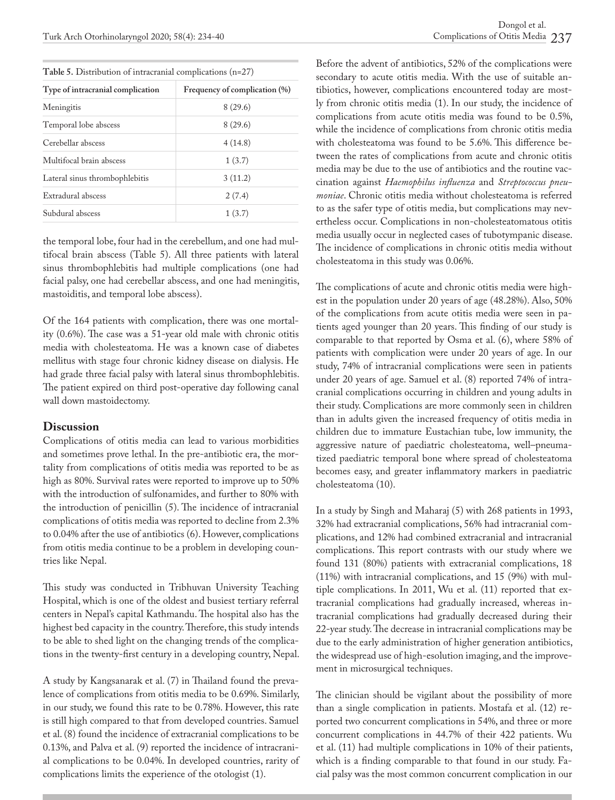| Table 5. Distribution of intracranial complications (n=27) |  |  |  |  |
|------------------------------------------------------------|--|--|--|--|
|------------------------------------------------------------|--|--|--|--|

| Type of intracranial complication | Frequency of complication (%) |
|-----------------------------------|-------------------------------|
| Meningitis                        | 8(29.6)                       |
| Temporal lobe abscess             | 8(29.6)                       |
| Cerebellar abscess                | 4(14.8)                       |
| Multifocal brain abscess          | 1(3.7)                        |
| Lateral sinus thrombophlebitis    | 3(11.2)                       |
| Extradural abscess                | 2(7.4)                        |
| Subdural abscess                  | 1(3.7)                        |

the temporal lobe, four had in the cerebellum, and one had multifocal brain abscess (Table 5). All three patients with lateral sinus thrombophlebitis had multiple complications (one had facial palsy, one had cerebellar abscess, and one had meningitis, mastoiditis, and temporal lobe abscess).

Of the 164 patients with complication, there was one mortality (0.6%). The case was a 51-year old male with chronic otitis media with cholesteatoma. He was a known case of diabetes mellitus with stage four chronic kidney disease on dialysis. He had grade three facial palsy with lateral sinus thrombophlebitis. The patient expired on third post-operative day following canal wall down mastoidectomy.

#### **Discussion**

Complications of otitis media can lead to various morbidities and sometimes prove lethal. In the pre-antibiotic era, the mortality from complications of otitis media was reported to be as high as 80%. Survival rates were reported to improve up to 50% with the introduction of sulfonamides, and further to 80% with the introduction of penicillin (5). The incidence of intracranial complications of otitis media was reported to decline from 2.3% to 0.04% after the use of antibiotics (6). However, complications from otitis media continue to be a problem in developing countries like Nepal.

This study was conducted in Tribhuvan University Teaching Hospital, which is one of the oldest and busiest tertiary referral centers in Nepal's capital Kathmandu. The hospital also has the highest bed capacity in the country. Therefore, this study intends to be able to shed light on the changing trends of the complications in the twenty-first century in a developing country, Nepal.

A study by Kangsanarak et al. (7) in Thailand found the prevalence of complications from otitis media to be 0.69%. Similarly, in our study, we found this rate to be 0.78%. However, this rate is still high compared to that from developed countries. Samuel et al. (8) found the incidence of extracranial complications to be 0.13%, and Palva et al. (9) reported the incidence of intracranial complications to be 0.04%. In developed countries, rarity of complications limits the experience of the otologist (1).

Before the advent of antibiotics, 52% of the complications were secondary to acute otitis media. With the use of suitable antibiotics, however, complications encountered today are mostly from chronic otitis media (1). In our study, the incidence of complications from acute otitis media was found to be 0.5%, while the incidence of complications from chronic otitis media with cholesteatoma was found to be 5.6%. This difference between the rates of complications from acute and chronic otitis media may be due to the use of antibiotics and the routine vaccination against *Haemophilus influenza* and *Streptococcus pneumoniae*. Chronic otitis media without cholesteatoma is referred to as the safer type of otitis media, but complications may nevertheless occur. Complications in non-cholesteatomatous otitis media usually occur in neglected cases of tubotympanic disease. The incidence of complications in chronic otitis media without cholesteatoma in this study was 0.06%.

The complications of acute and chronic otitis media were highest in the population under 20 years of age (48.28%). Also, 50% of the complications from acute otitis media were seen in patients aged younger than 20 years. This finding of our study is comparable to that reported by Osma et al. (6), where 58% of patients with complication were under 20 years of age. In our study, 74% of intracranial complications were seen in patients under 20 years of age. Samuel et al. (8) reported 74% of intracranial complications occurring in children and young adults in their study. Complications are more commonly seen in children than in adults given the increased frequency of otitis media in children due to immature Eustachian tube, low immunity, the aggressive nature of paediatric cholesteatoma, well–pneumatized paediatric temporal bone where spread of cholesteatoma becomes easy, and greater inflammatory markers in paediatric cholesteatoma (10).

In a study by Singh and Maharaj (5) with 268 patients in 1993, 32% had extracranial complications, 56% had intracranial complications, and 12% had combined extracranial and intracranial complications. This report contrasts with our study where we found 131 (80%) patients with extracranial complications, 18 (11%) with intracranial complications, and 15 (9%) with multiple complications. In 2011, Wu et al. (11) reported that extracranial complications had gradually increased, whereas intracranial complications had gradually decreased during their 22-year study. The decrease in intracranial complications may be due to the early administration of higher generation antibiotics, the widespread use of high-esolution imaging, and the improvement in microsurgical techniques.

The clinician should be vigilant about the possibility of more than a single complication in patients. Mostafa et al. (12) reported two concurrent complications in 54%, and three or more concurrent complications in 44.7% of their 422 patients. Wu et al. (11) had multiple complications in 10% of their patients, which is a finding comparable to that found in our study. Facial palsy was the most common concurrent complication in our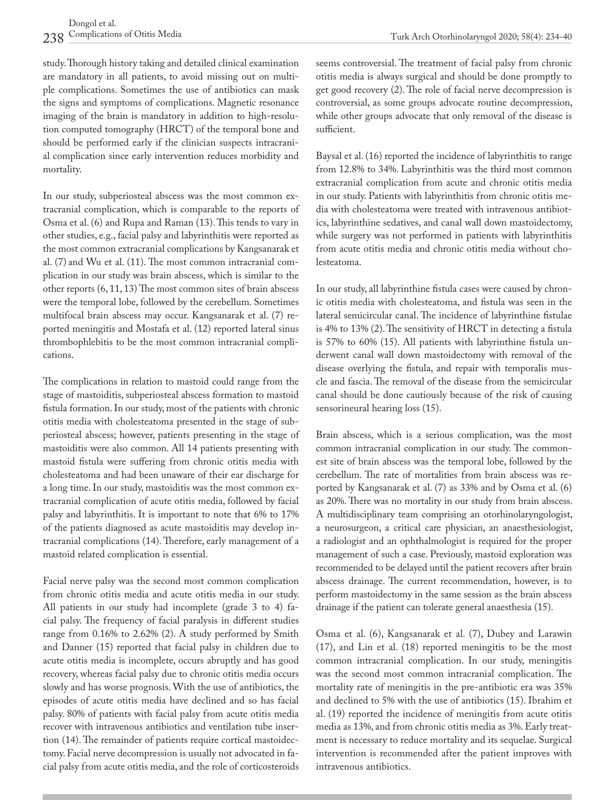study. Thorough history taking and detailed clinical examination are mandatory in all patients, to avoid missing out on multiple complications. Sometimes the use of antibiotics can mask the signs and symptoms of complications. Magnetic resonance imaging of the brain is mandatory in addition to high-resolution computed tomography (HRCT) of the temporal bone and should be performed early if the clinician suspects intracranial complication since early intervention reduces morbidity and mortality.

In our study, subperiosteal abscess was the most common extracranial complication, which is comparable to the reports of Osma et al. (6) and Rupa and Raman (13). This tends to vary in other studies, e.g., facial palsy and labyrinthitis were reported as the most common extracranial complications by Kangsanarak et al. (7) and Wu et al. (11). The most common intracranial complication in our study was brain abscess, which is similar to the other reports (6, 11, 13) The most common sites of brain abscess were the temporal lobe, followed by the cerebellum. Sometimes multifocal brain abscess may occur. Kangsanarak et al. (7) reported meningitis and Mostafa et al. (12) reported lateral sinus thrombophlebitis to be the most common intracranial complications.

The complications in relation to mastoid could range from the stage of mastoiditis, subperiosteal abscess formation to mastoid fistula formation. In our study, most of the patients with chronic otitis media with cholesteatoma presented in the stage of subperiosteal abscess; however, patients presenting in the stage of mastoiditis were also common. All 14 patients presenting with mastoid fistula were suffering from chronic otitis media with cholesteatoma and had been unaware of their ear discharge for a long time. In our study, mastoiditis was the most common extracranial complication of acute otitis media, followed by facial palsy and labyrinthitis. It is important to note that 6% to 17% of the patients diagnosed as acute mastoiditis may develop intracranial complications (14). Therefore, early management of a mastoid related complication is essential.

Facial nerve palsy was the second most common complication from chronic otitis media and acute otitis media in our study. All patients in our study had incomplete (grade 3 to 4) facial palsy. The frequency of facial paralysis in different studies range from 0.16% to 2.62% (2). A study performed by Smith and Danner (15) reported that facial palsy in children due to acute otitis media is incomplete, occurs abruptly and has good recovery, whereas facial palsy due to chronic otitis media occurs slowly and has worse prognosis. With the use of antibiotics, the episodes of acute otitis media have declined and so has facial palsy. 80% of patients with facial palsy from acute otitis media recover with intravenous antibiotics and ventilation tube insertion (14). The remainder of patients require cortical mastoidectomy. Facial nerve decompression is usually not advocated in facial palsy from acute otitis media, and the role of corticosteroids seems controversial. The treatment of facial palsy from chronic otitis media is always surgical and should be done promptly to get good recovery (2). The role of facial nerve decompression is controversial, as some groups advocate routine decompression, while other groups advocate that only removal of the disease is sufficient.

Baysal et al. (16) reported the incidence of labyrinthitis to range from 12.8% to 34%. Labyrinthitis was the third most common extracranial complication from acute and chronic otitis media in our study. Patients with labyrinthitis from chronic otitis media with cholesteatoma were treated with intravenous antibiotics, labyrinthine sedatives, and canal wall down mastoidectomy, while surgery was not performed in patients with labyrinthitis from acute otitis media and chronic otitis media without cholesteatoma.

In our study, all labyrinthine fistula cases were caused by chronic otitis media with cholesteatoma, and fistula was seen in the lateral semicircular canal. The incidence of labyrinthine fistulae is 4% to 13% (2). The sensitivity of HRCT in detecting a fistula is 57% to 60% (15). All patients with labyrinthine fistula underwent canal wall down mastoidectomy with removal of the disease overlying the fistula, and repair with temporalis muscle and fascia. The removal of the disease from the semicircular canal should be done cautiously because of the risk of causing sensorineural hearing loss (15).

Brain abscess, which is a serious complication, was the most common intracranial complication in our study. The commonest site of brain abscess was the temporal lobe, followed by the cerebellum. The rate of mortalities from brain abscess was reported by Kangsanarak et al. (7) as 33% and by Osma et al. (6) as 20%. There was no mortality in our study from brain abscess. A multidisciplinary team comprising an otorhinolaryngologist, a neurosurgeon, a critical care physician, an anaesthesiologist, a radiologist and an ophthalmologist is required for the proper management of such a case. Previously, mastoid exploration was recommended to be delayed until the patient recovers after brain abscess drainage. The current recommendation, however, is to perform mastoidectomy in the same session as the brain abscess drainage if the patient can tolerate general anaesthesia (15).

Osma et al. (6), Kangsanarak et al. (7), Dubey and Larawin (17), and Lin et al. (18) reported meningitis to be the most common intracranial complication. In our study, meningitis was the second most common intracranial complication. The mortality rate of meningitis in the pre-antibiotic era was 35% and declined to 5% with the use of antibiotics (15). Ibrahim et al. (19) reported the incidence of meningitis from acute otitis media as 13%, and from chronic otitis media as 3%. Early treatment is necessary to reduce mortality and its sequelae. Surgical intervention is recommended after the patient improves with intravenous antibiotics.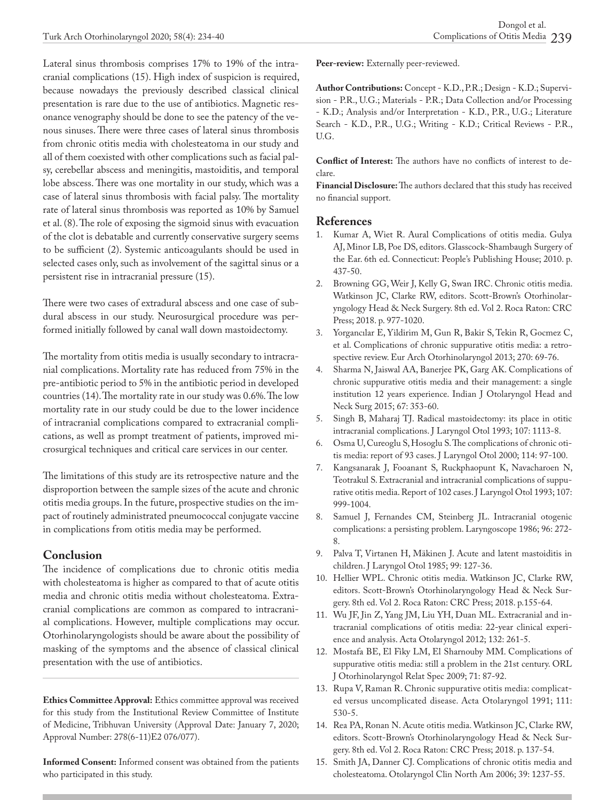Lateral sinus thrombosis comprises 17% to 19% of the intracranial complications (15). High index of suspicion is required, because nowadays the previously described classical clinical presentation is rare due to the use of antibiotics. Magnetic resonance venography should be done to see the patency of the venous sinuses. There were three cases of lateral sinus thrombosis from chronic otitis media with cholesteatoma in our study and all of them coexisted with other complications such as facial palsy, cerebellar abscess and meningitis, mastoiditis, and temporal lobe abscess. There was one mortality in our study, which was a case of lateral sinus thrombosis with facial palsy. The mortality rate of lateral sinus thrombosis was reported as 10% by Samuel et al. (8). The role of exposing the sigmoid sinus with evacuation of the clot is debatable and currently conservative surgery seems to be sufficient (2). Systemic anticoagulants should be used in selected cases only, such as involvement of the sagittal sinus or a persistent rise in intracranial pressure (15).

There were two cases of extradural abscess and one case of subdural abscess in our study. Neurosurgical procedure was performed initially followed by canal wall down mastoidectomy.

The mortality from otitis media is usually secondary to intracranial complications. Mortality rate has reduced from 75% in the pre-antibiotic period to 5% in the antibiotic period in developed countries (14). The mortality rate in our study was 0.6%. The low mortality rate in our study could be due to the lower incidence of intracranial complications compared to extracranial complications, as well as prompt treatment of patients, improved microsurgical techniques and critical care services in our center.

The limitations of this study are its retrospective nature and the disproportion between the sample sizes of the acute and chronic otitis media groups. In the future, prospective studies on the impact of routinely administrated pneumococcal conjugate vaccine in complications from otitis media may be performed.

### **Conclusion**

The incidence of complications due to chronic otitis media with cholesteatoma is higher as compared to that of acute otitis media and chronic otitis media without cholesteatoma. Extracranial complications are common as compared to intracranial complications. However, multiple complications may occur. Otorhinolaryngologists should be aware about the possibility of masking of the symptoms and the absence of classical clinical presentation with the use of antibiotics.

**Ethics Committee Approval:** Ethics committee approval was received for this study from the Institutional Review Committee of Institute of Medicine, Tribhuvan University (Approval Date: January 7, 2020; Approval Number: 278(6-11)E2 076/077).

**Informed Consent:** Informed consent was obtained from the patients who participated in this study.

**Peer-review:** Externally peer-reviewed.

**Author Contributions:** Concept - K.D., P.R.; Design - K.D.; Supervision - P.R., U.G.; Materials - P.R.; Data Collection and/or Processing - K.D.; Analysis and/or Interpretation - K.D., P.R., U.G.; Literature Search - K.D., P.R., U.G.; Writing - K.D.; Critical Reviews - P.R., U.G.

**Conflict of Interest:** The authors have no conflicts of interest to declare.

**Financial Disclosure:** The authors declared that this study has received no financial support.

# **References**<br>1. Kumar A.

- Kumar A, Wiet R. Aural Complications of otitis media. Gulya AJ, Minor LB, Poe DS, editors. Glasscock-Shambaugh Surgery of the Ear. 6th ed. Connecticut: People's Publishing House; 2010. p. 437-50.
- 2. Browning GG, Weir J, Kelly G, Swan IRC. Chronic otitis media. Watkinson JC, Clarke RW, editors. Scott-Brown's Otorhinolaryngology Head & Neck Surgery. 8th ed. Vol 2. Roca Raton: CRC Press; 2018. p. 977-1020.
- 3. Yorgancılar E, Yildirim M, Gun R, Bakir S, Tekin R, Gocmez C, et al. Complications of chronic suppurative otitis media: a retrospective review. Eur Arch Otorhinolaryngol 2013; 270: 69-76.
- 4. Sharma N, Jaiswal AA, Banerjee PK, Garg AK. Complications of chronic suppurative otitis media and their management: a single institution 12 years experience. Indian J Otolaryngol Head and Neck Surg 2015; 67: 353-60.
- 5. Singh B, Maharaj TJ. Radical mastoidectomy: its place in otitic intracranial complications. J Laryngol Otol 1993; 107: 1113-8.
- 6. Osma U, Cureoglu S, Hosoglu S. The complications of chronic otitis media: report of 93 cases. J Laryngol Otol 2000; 114: 97-100.
- 7. Kangsanarak J, Fooanant S, Ruckphaopunt K, Navacharoen N, Teotrakul S. Extracranial and intracranial complications of suppurative otitis media. Report of 102 cases. J Laryngol Otol 1993; 107: 999-1004.
- 8. Samuel J, Fernandes CM, Steinberg JL. Intracranial otogenic complications: a persisting problem. Laryngoscope 1986; 96: 272- 8.
- 9. Palva T, Virtanen H, Mäkinen J. Acute and latent mastoiditis in children. J Laryngol Otol 1985; 99: 127-36.
- 10. Hellier WPL. Chronic otitis media. Watkinson JC, Clarke RW, editors. Scott-Brown's Otorhinolaryngology Head & Neck Surgery. 8th ed. Vol 2. Roca Raton: CRC Press; 2018. p.155-64.
- 11. Wu JF, Jin Z, Yang JM, Liu YH, Duan ML. Extracranial and intracranial complications of otitis media: 22-year clinical experience and analysis. Acta Otolaryngol 2012; 132: 261-5.
- 12. Mostafa BE, El Fiky LM, El Sharnouby MM. Complications of suppurative otitis media: still a problem in the 21st century. ORL J Otorhinolaryngol Relat Spec 2009; 71: 87-92.
- 13. Rupa V, Raman R. Chronic suppurative otitis media: complicated versus uncomplicated disease. Acta Otolaryngol 1991; 111: 530-5.
- 14. Rea PA, Ronan N. Acute otitis media. Watkinson JC, Clarke RW, editors. Scott-Brown's Otorhinolaryngology Head & Neck Surgery. 8th ed. Vol 2. Roca Raton: CRC Press; 2018. p. 137-54.
- 15. Smith JA, Danner CJ. Complications of chronic otitis media and cholesteatoma. Otolaryngol Clin North Am 2006; 39: 1237-55.